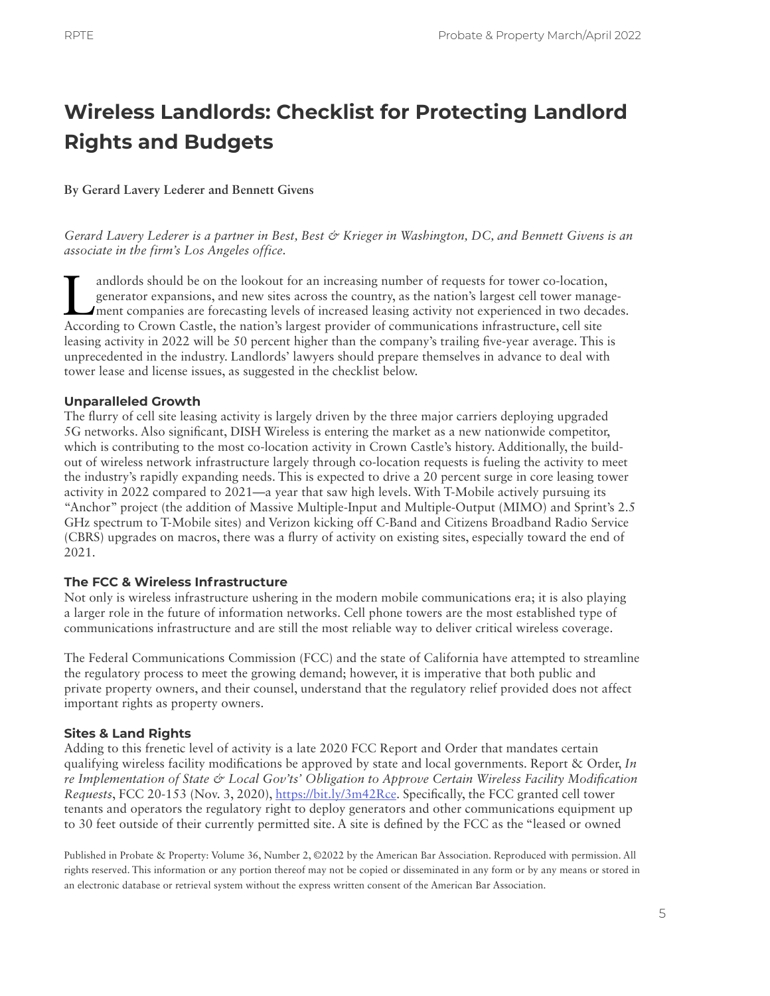# **Wireless Landlords: Checklist for Protecting Landlord Rights and Budgets**

### **By Gerard Lavery Lederer and Bennett Givens**

*Gerard Lavery Lederer is a partner in Best, Best & Krieger in Washington, DC, and Bennett Givens is an associate in the firm's Los Angeles office.*

andlords should be on the lookout for an increasing number of requests for tower co-location, generator expansions, and new sites across the country, as the nation's largest cell tower management companies are forecasting generator expansions, and new sites across the country, as the nation's largest cell tower manage-According to Crown Castle, the nation's largest provider of communications infrastructure, cell site leasing activity in 2022 will be 50 percent higher than the company's trailing five-year average. This is unprecedented in the industry. Landlords' lawyers should prepare themselves in advance to deal with tower lease and license issues, as suggested in the checklist below.

### **Unparalleled Growth**

The flurry of cell site leasing activity is largely driven by the three major carriers deploying upgraded 5G networks. Also significant, DISH Wireless is entering the market as a new nationwide competitor, which is contributing to the most co-location activity in Crown Castle's history. Additionally, the buildout of wireless network infrastructure largely through co-location requests is fueling the activity to meet the industry's rapidly expanding needs. This is expected to drive a 20 percent surge in core leasing tower activity in 2022 compared to 2021—a year that saw high levels. With T-Mobile actively pursuing its "Anchor" project (the addition of Massive Multiple-Input and Multiple-Output (MIMO) and Sprint's 2.5 GHz spectrum to T-Mobile sites) and Verizon kicking off C-Band and Citizens Broadband Radio Service (CBRS) upgrades on macros, there was a flurry of activity on existing sites, especially toward the end of 2021.

### **The FCC & Wireless Infrastructure**

Not only is wireless infrastructure ushering in the modern mobile communications era; it is also playing a larger role in the future of information networks. Cell phone towers are the most established type of communications infrastructure and are still the most reliable way to deliver critical wireless coverage.

The Federal Communications Commission (FCC) and the state of California have attempted to streamline the regulatory process to meet the growing demand; however, it is imperative that both public and private property owners, and their counsel, understand that the regulatory relief provided does not affect important rights as property owners.

## **Sites & Land Rights**

Adding to this frenetic level of activity is a late 2020 FCC Report and Order that mandates certain qualifying wireless facility modifications be approved by state and local governments. Report & Order, *In re Implementation of State & Local Gov'ts' Obligation to Approve Certain Wireless Facility Modification Requests*, FCC 20-153 (Nov. 3, 2020), [https://bit.ly/3m42Rce.](https://bit.ly/3m42Rce) Specifically, the FCC granted cell tower tenants and operators the regulatory right to deploy generators and other communications equipment up to 30 feet outside of their currently permitted site. A site is defined by the FCC as the "leased or owned

Published in Probate & Property: Volume 36, Number 2, ©2022 by the American Bar Association. Reproduced with permission. All rights reserved. This information or any portion thereof may not be copied or disseminated in any form or by any means or stored in an electronic database or retrieval system without the express written consent of the American Bar Association.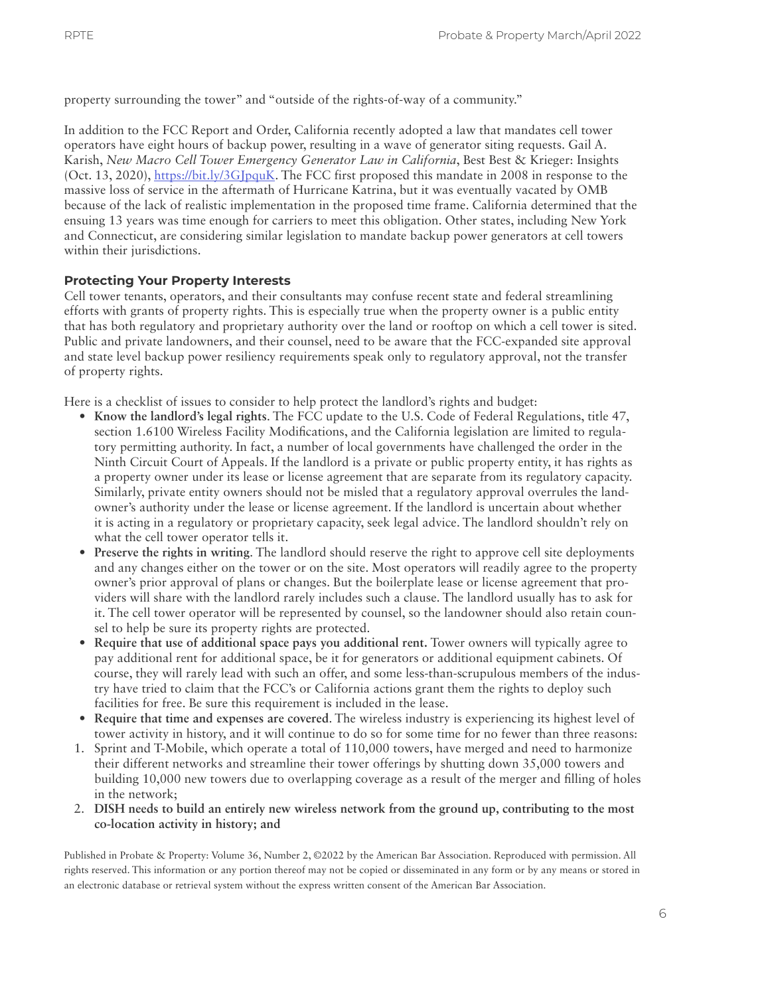property surrounding the tower" and "outside of the rights-of-way of a community."

In addition to the FCC Report and Order, California recently adopted a law that mandates cell tower operators have eight hours of backup power, resulting in a wave of generator siting requests. Gail A. Karish, *New Macro Cell Tower Emergency Generator Law in California*, Best Best & Krieger: Insights (Oct. 13, 2020), [https://bit.ly/3GJpquK.](https://bit.ly/3GJpquK) The FCC first proposed this mandate in 2008 in response to the massive loss of service in the aftermath of Hurricane Katrina, but it was eventually vacated by OMB because of the lack of realistic implementation in the proposed time frame. California determined that the ensuing 13 years was time enough for carriers to meet this obligation. Other states, including New York and Connecticut, are considering similar legislation to mandate backup power generators at cell towers within their jurisdictions.

### **Protecting Your Property Interests**

Cell tower tenants, operators, and their consultants may confuse recent state and federal streamlining efforts with grants of property rights. This is especially true when the property owner is a public entity that has both regulatory and proprietary authority over the land or rooftop on which a cell tower is sited. Public and private landowners, and their counsel, need to be aware that the FCC-expanded site approval and state level backup power resiliency requirements speak only to regulatory approval, not the transfer of property rights.

Here is a checklist of issues to consider to help protect the landlord's rights and budget:

- **Know the landlord's legal rights**. The FCC update to the U.S. Code of Federal Regulations, title 47, section 1.6100 Wireless Facility Modifications, and the California legislation are limited to regulatory permitting authority. In fact, a number of local governments have challenged the order in the Ninth Circuit Court of Appeals. If the landlord is a private or public property entity, it has rights as a property owner under its lease or license agreement that are separate from its regulatory capacity. Similarly, private entity owners should not be misled that a regulatory approval overrules the landowner's authority under the lease or license agreement. If the landlord is uncertain about whether it is acting in a regulatory or proprietary capacity, seek legal advice. The landlord shouldn't rely on what the cell tower operator tells it.
- **Preserve the rights in writing**. The landlord should reserve the right to approve cell site deployments and any changes either on the tower or on the site. Most operators will readily agree to the property owner's prior approval of plans or changes. But the boilerplate lease or license agreement that providers will share with the landlord rarely includes such a clause. The landlord usually has to ask for it. The cell tower operator will be represented by counsel, so the landowner should also retain counsel to help be sure its property rights are protected.
- **Require that use of additional space pays you additional rent.** Tower owners will typically agree to pay additional rent for additional space, be it for generators or additional equipment cabinets. Of course, they will rarely lead with such an offer, and some less-than-scrupulous members of the industry have tried to claim that the FCC's or California actions grant them the rights to deploy such facilities for free. Be sure this requirement is included in the lease.
- **Require that time and expenses are covered**. The wireless industry is experiencing its highest level of tower activity in history, and it will continue to do so for some time for no fewer than three reasons:
- 1. Sprint and T-Mobile, which operate a total of 110,000 towers, have merged and need to harmonize their different networks and streamline their tower offerings by shutting down 35,000 towers and building 10,000 new towers due to overlapping coverage as a result of the merger and filling of holes in the network;
- 2. **DISH needs to build an entirely new wireless network from the ground up, contributing to the most co-location activity in history; and**

Published in Probate & Property: Volume 36, Number 2, ©2022 by the American Bar Association. Reproduced with permission. All rights reserved. This information or any portion thereof may not be copied or disseminated in any form or by any means or stored in an electronic database or retrieval system without the express written consent of the American Bar Association.